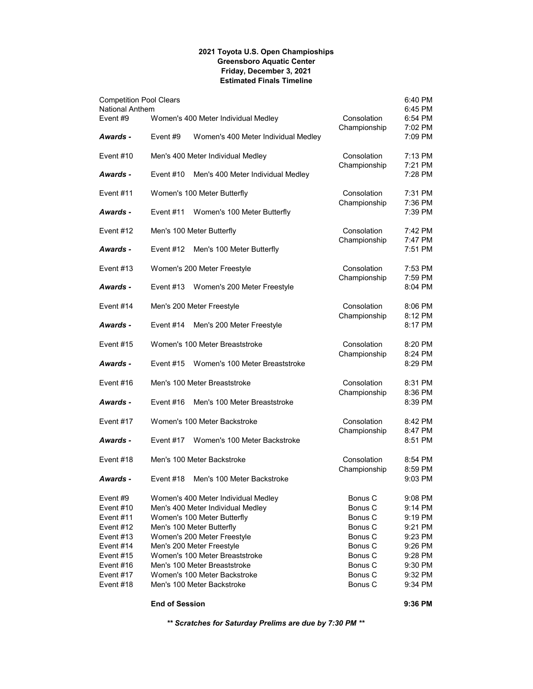## **2021 Toyota U.S. Open Champioships Greensboro Aquatic Center Friday, December 3, 2021 Estimated Finals Timeline**

|                                | <b>End of Session</b> |                                                             |                             | 9:36 PM            |
|--------------------------------|-----------------------|-------------------------------------------------------------|-----------------------------|--------------------|
| Event #18                      |                       | Men's 100 Meter Backstroke                                  | Bonus C                     | 9:34 PM            |
| Event #17                      |                       | Women's 100 Meter Backstroke                                | Bonus C                     | 9:32 PM            |
| Event #16                      |                       | Men's 100 Meter Breaststroke                                | Bonus C                     | 9:30 PM            |
| Event #15                      |                       | Men's 200 Meter Freestyle<br>Women's 100 Meter Breaststroke | Bonus C                     | 9:28 PM            |
| Event $#13$<br>Event #14       |                       | Women's 200 Meter Freestyle                                 | Bonus C<br>Bonus C          | 9:23 PM<br>9:26 PM |
| Event $#12$                    |                       | Men's 100 Meter Butterfly                                   | Bonus C                     | 9:21 PM            |
| Event #11                      |                       | Women's 100 Meter Butterfly                                 | Bonus C                     | 9:19 PM            |
| Event $#10$                    |                       | Men's 400 Meter Individual Medley                           | Bonus <sub>C</sub>          | 9:14 PM            |
| Event #9                       |                       | Women's 400 Meter Individual Medley                         | Bonus C                     | 9:08 PM            |
| Awards -                       | Event #18             | Men's 100 Meter Backstroke                                  |                             | 9:03 PM            |
| Event $#18$                    |                       | Men's 100 Meter Backstroke                                  | Consolation<br>Championship | 8:54 PM<br>8:59 PM |
| <b>Awards -</b>                | Event #17             | Women's 100 Meter Backstroke                                |                             | 8:51 PM            |
| Event #17                      |                       | Women's 100 Meter Backstroke                                | Consolation<br>Championship | 8:42 PM<br>8:47 PM |
| Awards -                       | Event #16             | Men's 100 Meter Breaststroke                                |                             | 8:39 PM            |
| Event #16                      |                       | Men's 100 Meter Breaststroke                                | Consolation<br>Championship | 8:31 PM<br>8:36 PM |
|                                |                       |                                                             |                             |                    |
| Awards -                       | Event #15             | Women's 100 Meter Breaststroke                              | Championship                | 8:24 PM<br>8:29 PM |
| Event $#15$                    |                       | Women's 100 Meter Breaststroke                              | Consolation                 | 8:20 PM            |
| <b>Awards -</b>                | Event $#14$           | Men's 200 Meter Freestyle                                   | Championship                | 8:12 PM<br>8:17 PM |
| Event #14                      |                       | Men's 200 Meter Freestyle                                   | Consolation                 | 8:06 PM            |
| <b>Awards -</b>                | Event #13             | Women's 200 Meter Freestyle                                 | Championship                | 7:59 PM<br>8:04 PM |
| Event $#13$                    |                       | Women's 200 Meter Freestyle                                 | Consolation                 | 7:53 PM            |
| Awards -                       | Event #12             | Men's 100 Meter Butterfly                                   | Championship                | 7:47 PM<br>7:51 PM |
| Event $#12$                    |                       | Men's 100 Meter Butterfly                                   | Consolation                 | 7:42 PM            |
| <b>Awards -</b>                | Event #11             | Women's 100 Meter Butterfly                                 | Championship                | 7:36 PM<br>7:39 PM |
| Event #11                      |                       | Women's 100 Meter Butterfly                                 | Consolation                 | 7:31 PM            |
| Awards -                       | Event #10             | Men's 400 Meter Individual Medley                           | Championship                | 7:21 PM<br>7:28 PM |
| Event $#10$                    |                       | Men's 400 Meter Individual Medley                           | Consolation                 | 7:13 PM            |
| <b>Awards -</b>                | Event $#9$            | Women's 400 Meter Individual Medley                         | Championship                | 7:02 PM<br>7:09 PM |
| National Anthem<br>Event #9    |                       | Women's 400 Meter Individual Medley                         | Consolation                 | 6:45 PM<br>6:54 PM |
| <b>Competition Pool Clears</b> |                       |                                                             |                             | 6:40 PM            |

*\*\* Scratches for Saturday Prelims are due by 7:30 PM \*\**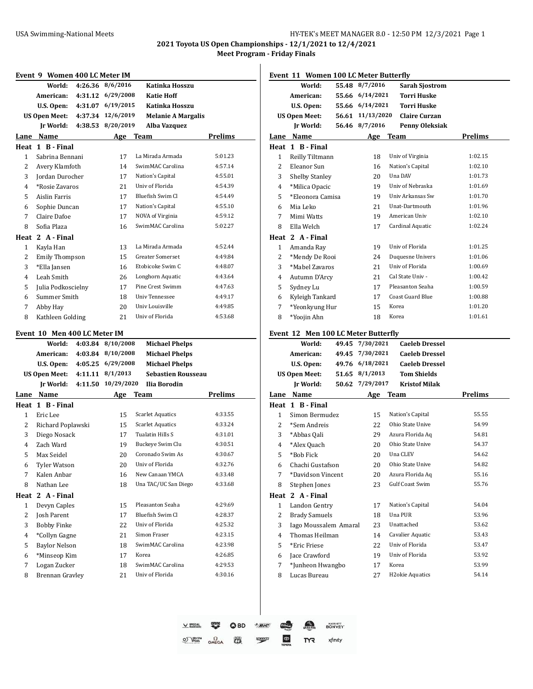**2021 Toyota US Open Championships - 12/1/2021 to 12/4/2021**

|                | Event 9 Women 400 LC Meter IM     |                              |                        |                                                    |                |
|----------------|-----------------------------------|------------------------------|------------------------|----------------------------------------------------|----------------|
|                | World:                            | 4:26.36                      | 8/6/2016               | Katinka Hosszu                                     |                |
|                | American:                         | 4:31.12                      | 6/29/2008              | <b>Katie Hoff</b>                                  |                |
|                | U.S. Open:                        | 4:31.07                      | 6/19/2015              | Katinka Hosszu                                     |                |
|                | US Open Meet:                     | 4:37.34                      | 12/6/2019              | <b>Melanie A Margalis</b>                          |                |
|                | Ir World:                         | 4:38.53                      | 8/20/2019              | Alba Vazquez                                       |                |
|                | Lane Name                         |                              | Age Team               |                                                    | <b>Prelims</b> |
|                | Heat 1 B - Final                  |                              |                        |                                                    |                |
| 1              | Sabrina Bennani                   |                              | 17                     | La Mirada Armada                                   | 5:01.23        |
| 2              | Avery Klamfoth                    |                              | 14                     | SwimMAC Carolina                                   | 4:57.14        |
| 3              | Jordan Durocher                   |                              | 17                     | Nation's Capital                                   | 4:55.01        |
| 4              | *Rosie Zavaros                    |                              | 21                     | Univ of Florida                                    | 4:54.39        |
| 5              | Aislin Farris                     |                              | 17                     | Bluefish Swim Cl                                   | 4:54.49        |
| 6              | Sophie Duncan                     |                              | 17                     | Nation's Capital                                   | 4:55.10        |
| 7              | Claire Dafoe                      |                              | 17                     | NOVA of Virginia                                   | 4:59.12        |
| 8              | Sofia Plaza                       |                              | 16                     | SwimMAC Carolina                                   | 5:02.27        |
|                | Heat 2 A - Final                  |                              |                        |                                                    |                |
| 1              | Kayla Han                         |                              | 13                     | La Mirada Armada                                   | 4:52.44        |
| 2              | <b>Emily Thompson</b>             |                              | 15                     | <b>Greater Somerset</b>                            | 4:49.84        |
| 3              | *Ella Jansen                      |                              | 16                     | Etobicoke Swim C                                   | 4:48.07        |
| 4              | Leah Smith                        |                              | 26                     | Longhorn Aquatic                                   | 4:43.64        |
| 5              | Julia Podkoscielny                |                              | 17                     | Pine Crest Swimm                                   | 4:47.63        |
| 6              | Summer Smith                      |                              | 18                     | <b>Univ Tennessee</b>                              | 4:49.17        |
| 7              | Abby Hay                          |                              | 20                     | Univ Louisville                                    | 4:49.85        |
| 8              | Kathleen Golding                  |                              | 21                     | Univ of Florida                                    | 4:53.68        |
|                |                                   |                              |                        |                                                    |                |
|                |                                   |                              |                        |                                                    |                |
|                |                                   | Event 10 Men 400 LC Meter IM |                        |                                                    |                |
|                | World:                            | 4:03.84                      | 8/10/2008              | <b>Michael Phelps</b>                              |                |
|                | American:                         | 4:03.84                      | 8/10/2008<br>6/29/2008 | <b>Michael Phelps</b>                              |                |
|                | U.S. Open:                        | 4:05.25<br>4:11.11           | 8/1/2013               | <b>Michael Phelps</b><br><b>Sebastien Rousseau</b> |                |
|                | <b>US Open Meet:</b><br>Ir World: | 4:11.50                      | 10/29/2020             | Ilia Borodin                                       |                |
|                |                                   |                              |                        |                                                    |                |
|                | Lane Name<br>Heat 1 B - Final     |                              | Age                    | Team                                               | <b>Prelims</b> |
| $\mathbf{1}$   | Eric Lee                          |                              | 15                     | Scarlet Aquatics                                   | 4:33.55        |
| 2              | Richard Poplawski                 |                              | 15                     | <b>Scarlet Aquatics</b>                            | 4:33.24        |
| 3              | Diego Nosack                      |                              | 17                     | Tualatin Hills S                                   | 4:31.01        |
| $\overline{4}$ | Zach Ward                         |                              | 19                     | Buckeye Swim Clu                                   | 4:30.51        |
| 5              | Max Seidel                        |                              | 20                     | Coronado Swim As                                   | 4:30.67        |
| 6              | <b>Tyler Watson</b>               |                              | 20                     | Univ of Florida                                    | 4:32.76        |
| 7              | Kalen Anbar                       |                              | 16                     | New Canaan YMCA                                    | 4:33.48        |
| 8              | Nathan Lee                        |                              | 18                     | Una TAC/UC San Diego                               | 4:33.68        |
| Heat           | 2 A - Final                       |                              |                        |                                                    |                |
| 1              | Devyn Caples                      |                              | 15                     | Pleasanton Seaha                                   | 4.29.69        |
| $\overline{c}$ | Josh Parent                       |                              | 17                     | Bluefish Swim Cl                                   | 4:28.37        |
| 3              | <b>Bobby Finke</b>                |                              | 22                     | Univ of Florida                                    | 4:25.32        |
| $\overline{4}$ | *Collyn Gagne                     |                              | 21                     | Simon Fraser                                       | 4:23.15        |
| 5              | <b>Baylor Nelson</b>              |                              | 18                     | SwimMAC Carolina                                   | 4:23.98        |
| 6              | *Minseop Kim                      |                              | 17                     | Korea                                              | 4:26.85        |
| 7              | Logan Zucker                      |                              | 18                     | SwimMAC Carolina                                   | 4:29.53        |
| 8              | <b>Brennan Gravley</b>            |                              | 21                     | Univ of Florida                                    | 4:30.16        |

|                | <b>Event 11 Women 100 LC Meter Butterfly</b> |       |                 |                              |                |
|----------------|----------------------------------------------|-------|-----------------|------------------------------|----------------|
|                | World:                                       | 55.48 | 8/7/2016        | <b>Sarah Sjostrom</b>        |                |
|                | American:                                    |       | 55.66 6/14/2021 | <b>Torri Huske</b>           |                |
|                | U.S. Open:                                   |       | 55.66 6/14/2021 | Torri Huske                  |                |
|                | <b>US Open Meet:</b>                         | 56.61 | 11/13/2020      | <b>Claire Curzan</b>         |                |
|                | <b>Jr World:</b>                             | 56.46 | 8/7/2016        | Penny Oleksiak               |                |
|                | Lane Name                                    |       |                 | Age Team                     | Prelims        |
|                | Heat 1 B - Final                             |       |                 |                              |                |
| $\mathbf{1}$   | Reilly Tiltmann                              |       | 18              | Univ of Virginia             | 1:02.15        |
| 2              | Eleanor Sun                                  |       | 16              | Nation's Capital             | 1:02.10        |
| 3              | <b>Shelby Stanley</b>                        |       | 20              | Una DAV                      | 1:01.73        |
| 4              | *Milica Opacic                               |       | 19              | Univ of Nebraska             | 1:01.69        |
| 5              | *Eleonora Camisa                             |       | 19              | Univ Arkansas Sw             | 1:01.70        |
| 6              | Mia Leko                                     |       | 21              | Unat-Dartmouth               | 1:01.96        |
| 7              | Mimi Watts                                   |       | 19              | American Univ                | 1:02.10        |
| 8              | Ella Welch                                   |       | 17              | Cardinal Aquatic             | 1:02.24        |
|                | Heat 2 A - Final                             |       |                 |                              |                |
| 1              | Amanda Ray                                   |       | 19              | Univ of Florida              | 1:01.25        |
| 2              | *Mendy De Rooi                               |       | 24              | Duquesne Univers             | 1:01.06        |
| 3              | *Mabel Zavaros                               |       | 21              | Univ of Florida              | 1:00.69        |
| 4              | Autumn D'Arcy                                |       | 21              | Cal State Univ -             | 1:00.42        |
| 5              | Sydney Lu                                    |       | 17              | Pleasanton Seaha             | 1:00.59        |
| 6              | Kyleigh Tankard                              |       | 17              | Coast Guard Blue             | 1:00.88        |
| 7              | *Yeonkyung Hur                               |       | 15              | Korea                        | 1:01.20        |
| 8              | *Yoojin Ahn                                  |       | 18              | Korea                        | 1:01.61        |
|                | Event 12 Men 100 LC Meter Butterfly          |       |                 |                              |                |
|                | World:                                       |       | 49.45 7/30/2021 | <b>Caeleb Dressel</b>        |                |
|                | American:                                    |       | 49.45 7/30/2021 | <b>Caeleb Dressel</b>        |                |
|                | U.S. Open:                                   |       | 49.76 6/18/2021 | <b>Caeleb Dressel</b>        |                |
|                | <b>US Open Meet:</b>                         |       | 51.65 8/1/2013  | <b>Tom Shields</b>           |                |
|                | <b>Jr World:</b>                             | 50.62 | 7/29/2017       | <b>Kristof Milak</b>         |                |
|                | Lane Name                                    |       | Age             | <b>Team</b>                  | <b>Prelims</b> |
|                | Heat 1 B - Final                             |       |                 |                              |                |
| $\mathbf{1}$   | Simon Bermudez                               |       | 15              | Nation's Capital             | 55.55          |
| 2              | *Sem Andreis                                 |       | 22              | Ohio State Unive             | 54.99          |
| 3              | *Abbas Qali                                  |       | 29              | Azura Florida Aq             | 54.81          |
| 4              | *Alex Quach                                  |       | 20              | Ohio State Unive             | 54.37          |
| 5              | *Bob Fick                                    |       | 20              | Una CLEV                     | 54.62          |
| 6              | Chachi Gustafson                             |       | 20              | Ohio State Unive             | 54.82          |
| 7              | *Davidson Vincent                            |       | 20              | Azura Florida Aq             | 55.16          |
| 8              | Stephen Jones                                |       | 23              | Gulf Coast Swim              | 55.76          |
|                | Heat 2 A - Final                             |       |                 |                              |                |
| $\mathbf{1}$   | Landon Gentry                                |       | 17              | Nation's Capital             | 54.04          |
| $\overline{c}$ | <b>Brady Samuels</b>                         |       | 18              | Una PUR                      | 53.96          |
| 3              | Iago Moussalem Amaral                        |       | 23              | Unattached                   | 53.62          |
| 4              | Thomas Heilman                               |       | 14              | Cavalier Aquatic             | 53.43          |
| 5              | *Eric Friese                                 |       | 22              | Univ of Florida              | 53.47          |
| 6              | Jace Crawford                                |       | 19              | Univ of Florida              | 53.92          |
| 7              | *Junheon Hwangbo                             |       | 17              | Korea                        | 53.99          |
| 8              | Lucas Bureau                                 |       | 27              | H <sub>2</sub> okie Aquatics | 54.14          |
|                |                                              |       |                 |                              |                |

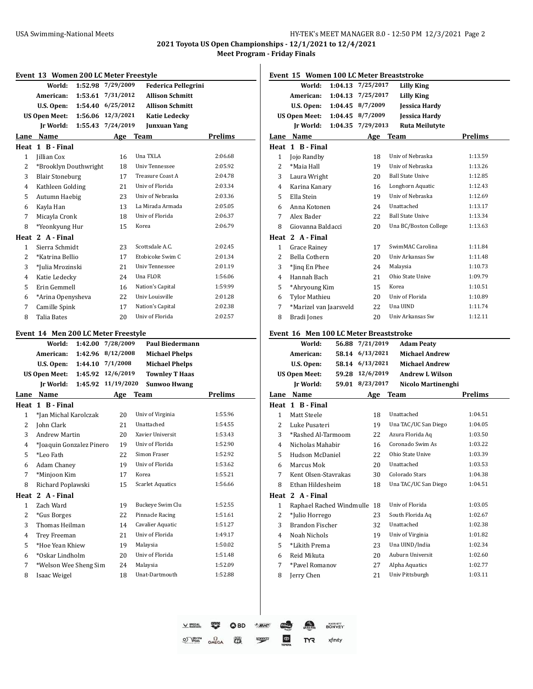**2021 Toyota US Open Championships - 12/1/2021 to 12/4/2021**

|                         |                                       |         | Event 13 Women 200 LC Meter Freestyle |                            |                    |
|-------------------------|---------------------------------------|---------|---------------------------------------|----------------------------|--------------------|
|                         | World:                                | 1:52.98 | 7/29/2009                             | <b>Federica Pellegrini</b> |                    |
|                         | American:                             | 1:53.61 | 7/31/2012                             | <b>Allison Schmitt</b>     |                    |
|                         | U.S. Open:                            | 1:54.40 | 6/25/2012                             | <b>Allison Schmitt</b>     |                    |
|                         | <b>US Open Meet:</b>                  | 1:56.06 | 12/3/2021                             | <b>Katie Ledecky</b>       |                    |
|                         | Ir World:                             | 1:55.43 | 7/24/2019                             | <b>Junxuan Yang</b>        |                    |
|                         | Lane Name                             |         | Age                                   | <b>Team</b>                | <b>Prelims</b>     |
|                         | Heat 1 B - Final                      |         |                                       |                            |                    |
| 1                       | Jillian Cox                           |         | 16                                    | Una TXLA                   | 2:06.68            |
| 2                       | *Brooklyn Douthwright                 |         | 18                                    | Univ Tennessee             | 2:05.92            |
| 3                       | <b>Blair Stoneburg</b>                |         | 17                                    | Treasure Coast A           | 2:04.78            |
| 4                       | Kathleen Golding                      |         | 21                                    | Univ of Florida            | 2:03.34            |
| 5                       | Autumn Haebig                         |         | 23                                    | Univ of Nebraska           | 2:03.36            |
| 6                       | Kayla Han                             |         | 13                                    | La Mirada Armada           | 2:05.05            |
| 7                       | Micayla Cronk                         |         | 18                                    | Univ of Florida            | 2:06.37            |
| 8                       | *Yeonkyung Hur                        |         | 15                                    | Korea                      | 2:06.79            |
|                         | Heat 2 A - Final                      |         |                                       |                            |                    |
| 1                       | Sierra Schmidt                        |         | 23                                    | Scottsdale A.C.            | 2:02.45            |
| 2                       | *Katrina Bellio                       |         | 17                                    | Etobicoke Swim C           | 2:01.34            |
| 3                       | *Julia Mrozinski                      |         | 21                                    | Univ Tennessee             | 2:01.19            |
| $\overline{4}$          | Katie Ledecky                         |         | 24                                    | Una FLOR                   | 1:56.06            |
| 5                       | Erin Gemmell                          |         | 16                                    | Nation's Capital           | 1:59.99            |
| 6                       | *Arina Openysheva                     |         | 22                                    | Univ Louisville            | 2:01.28            |
| 7                       | Camille Spink                         |         | 17                                    | Nation's Capital           | 2:02.38            |
| 8                       | <b>Talia Bates</b>                    |         | 20                                    | Univ of Florida            | 2:02.57            |
|                         |                                       |         |                                       |                            |                    |
|                         | Event 14 Men 200 LC Meter Freestyle   |         |                                       |                            |                    |
|                         |                                       |         |                                       |                            |                    |
|                         | World:                                | 1:42.00 | 7/28/2009                             | Paul Biedermann            |                    |
|                         | American:                             | 1:42.96 | 8/12/2008                             | <b>Michael Phelps</b>      |                    |
|                         | U.S. Open:                            | 1:44.10 | 7/1/2008                              | <b>Michael Phelps</b>      |                    |
|                         | <b>US Open Meet:</b>                  | 1:45.92 | 12/6/2019                             | <b>Townley T Haas</b>      |                    |
|                         | Jr World:                             | 1:45.92 | 11/19/2020                            | <b>Sunwoo Hwang</b>        |                    |
|                         | Lane Name                             |         | Age                                   | <b>Team</b>                | <b>Prelims</b>     |
|                         | Heat 1 B - Final                      |         |                                       |                            |                    |
| 1                       | *Ian Michal Karolczak                 |         | 20                                    | Univ of Virginia           | 1:55.96            |
| 2                       | John Clark                            |         | 21                                    | Unattached                 | 1:54.55            |
| 3                       | <b>Andrew Martin</b>                  |         | 20                                    | Xavier Universit           | 1:53.43            |
| 4                       | *Joaquin Gonzalez Pinero              |         | 19                                    | Univ of Florida            | 1:52.90            |
| 5                       | *Leo Fath                             |         | 22                                    | Simon Fraser               | 1:52.92            |
| 6                       | <b>Adam Chaney</b>                    |         | 19                                    | Univ of Florida            | 1:53.62            |
| 7                       | *Minjoon Kim                          |         | 17                                    | Korea                      | 1:55.21            |
| 8                       | Richard Poplawski                     |         | 15                                    | <b>Scarlet Aquatics</b>    | 1:56.66            |
|                         | 2 A - Final                           |         |                                       |                            |                    |
| $\mathbf{1}$            | Zach Ward                             |         | 19                                    | Buckeye Swim Clu           | 1:52.55            |
| $\overline{\mathbf{c}}$ | *Gus Borges                           |         | 22                                    | Pinnacle Racing            | 1:51.61            |
| 3                       | Thomas Heilman                        |         | 14                                    | Cavalier Aquatic           | 1:51.27            |
| $\overline{4}$          | Trey Freeman                          |         | 21                                    | Univ of Florida            | 1:49.17            |
| 5                       | *Hoe Yean Khiew                       |         | 19                                    | Malaysia                   | 1:50.02            |
| Heat<br>6               | *Oskar Lindholm                       |         | 20                                    | Univ of Florida            | 1:51.48            |
| 7<br>8                  | *Welson Wee Sheng Sim<br>Isaac Weigel |         | 24<br>18                              | Malaysia<br>Unat-Dartmouth | 1:52.09<br>1:52.88 |

|      | Event 15 Women 100 LC Meter Breaststroke  |                   |           |                                   |                    |
|------|-------------------------------------------|-------------------|-----------|-----------------------------------|--------------------|
|      | World:                                    | 1:04.13 7/25/2017 |           | Lilly King                        |                    |
|      | American:                                 | 1:04.13           | 7/25/2017 | <b>Lilly King</b>                 |                    |
|      | U.S. Open:                                | 1:04.45           | 8/7/2009  | <b>Jessica Hardy</b>              |                    |
|      | <b>US Open Meet:</b>                      | 1:04.45           | 8/7/2009  | <b>Jessica Hardy</b>              |                    |
|      | <b>Jr World:</b>                          | 1:04.35           | 7/29/2013 | <b>Ruta Meilutyte</b>             |                    |
|      | Lane Name                                 |                   | Age       | <b>Team</b>                       | Prelims            |
|      | Heat 1 B-Final                            |                   |           |                                   |                    |
| 1    | Jojo Randby                               |                   | 18        | Univ of Nebraska                  | 1:13.59            |
| 2    | *Maia Hall                                |                   | 19        | Univ of Nebraska                  | 1:13.26            |
| 3    | Laura Wright                              |                   | 20        | <b>Ball State Unive</b>           | 1:12.85            |
| 4    | Karina Kanary                             |                   | 16        | Longhorn Aquatic                  | 1:12.43            |
| 5    | Ella Stein                                |                   | 19        | Univ of Nebraska                  | 1:12.69            |
| 6    | Anna Kotonen                              |                   | 24        | Unattached                        | 1:13.17            |
| 7    | Alex Bader                                |                   | 22        | <b>Ball State Unive</b>           | 1:13.34            |
| 8    | Giovanna Baldacci                         |                   | 20        | Una BC/Boston College             | 1:13.63            |
|      | Heat 2 A - Final                          |                   |           |                                   |                    |
| 1    | Grace Rainey                              |                   | 17        | SwimMAC Carolina                  | 1:11.84            |
| 2    | Bella Cothern                             |                   | 20        | Univ Arkansas Sw                  | 1:11.48            |
| 3    | *Jing En Phee                             |                   | 24        | Malaysia                          | 1:10.73            |
| 4    | Hannah Bach                               |                   | 21        | Ohio State Unive                  | 1:09.79            |
| 5    | *Ahryoung Kim                             |                   | 15        | Korea                             | 1:10.51            |
| 6    | <b>Tylor Mathieu</b>                      |                   | 20        | Univ of Florida                   | 1:10.89            |
| 7    | *Marizel van Jaarsveld                    |                   | 22        | Una UIND                          | 1:11.74            |
| 8    | Bradi Jones                               |                   | 20        | Univ Arkansas Sw                  | 1:12.11            |
|      | Event  16   Men 100 LC Meter Breaststroke |                   |           |                                   |                    |
|      | World:                                    | 56.88             | 7/21/2019 | <b>Adam Peaty</b>                 |                    |
|      | American:                                 | 58.14 6/13/2021   |           | <b>Michael Andrew</b>             |                    |
|      | U.S. Open:                                | 58.14 6/13/2021   |           | <b>Michael Andrew</b>             |                    |
|      | <b>US Open Meet:</b>                      | 59.28             | 12/6/2019 | <b>Andrew L Wilson</b>            |                    |
|      | <b>Jr World:</b>                          | 59.01 8/23/2017   |           | Nicolo Martinenghi                |                    |
| Lane | <b>Name</b>                               |                   | Age       | Team                              | Prelims            |
|      | Heat 1 B - Final                          |                   |           |                                   |                    |
| 1    | Matt Steele                               |                   | 18        | Unattached                        | 1:04.51            |
| 2    | Luke Pusateri                             |                   | 19        | Una TAC/UC San Diego              | 1:04.05            |
| 3    | *Rashed Al-Tarmoom                        |                   | 22        | Azura Florida Aq                  | 1:03.50            |
| 4    | Nicholas Mahabir                          |                   | 16        | Coronado Swim As                  | 1:03.22            |
| 5.   | Hudson McDaniel                           |                   | 22        | Ohio State Unive                  | 1:03.39            |
| 6    | Marcus Mok                                |                   | 20        | Unattached                        | 1:03.53            |
| 7    | Kent Olsen-Stavrakas                      |                   | 30        | Colorado Stars                    | 1:04.38            |
| 8    | Ethan Hildesheim                          |                   | 18        | Una TAC/UC San Diego              | 1:04.51            |
| Heat | 2 A - Final                               |                   |           |                                   |                    |
| 1    | Raphael Rached Windmulle                  |                   | 18        | Univ of Florida                   | 1:03.05            |
| 2    | *Julio Horrego                            |                   | 23        | South Florida Aq                  | 1:02.67            |
| 3    | <b>Brandon Fischer</b>                    |                   | 32        | Unattached                        | 1:02.38            |
| 4    | Noah Nichols                              |                   | 19        | Univ of Virginia                  | 1:01.82            |
| 5    | *Likith Prema                             |                   | 23        | Una UIND/India                    | 1:02.34            |
| 6    | Reid Mikuta                               |                   | 20        | Auburn Universit                  | 1:02.60            |
| 7    | *Pavel Romanov                            |                   | 27        | Alpha Aquatics<br>Univ Pittsburgh | 1:02.77<br>1:03.11 |
| 8    | Jerry Chen                                |                   | 21        |                                   |                    |
|      |                                           |                   |           |                                   |                    |

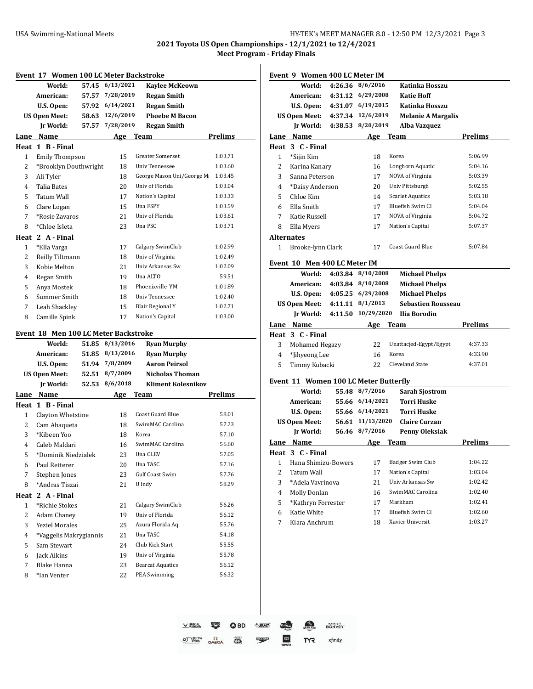**2021 Toyota US Open Championships - 12/1/2021 to 12/4/2021**

|        | World:                                      | 57.45 | Event 17 Women 100 LC Meter Backstroke<br>6/13/2021 | <b>Kaylee McKeown</b>                   |                                                                                                                                     |
|--------|---------------------------------------------|-------|-----------------------------------------------------|-----------------------------------------|-------------------------------------------------------------------------------------------------------------------------------------|
|        | American:                                   | 57.57 | 7/28/2019                                           | <b>Regan Smith</b>                      |                                                                                                                                     |
|        | U.S. Open:                                  | 57.92 | 6/14/2021                                           | <b>Regan Smith</b>                      |                                                                                                                                     |
|        | <b>US Open Meet:</b>                        | 58.63 | 12/6/2019                                           | <b>Phoebe M Bacon</b>                   |                                                                                                                                     |
|        | Ir World:                                   | 57.57 | 7/28/2019                                           | <b>Regan Smith</b>                      |                                                                                                                                     |
| Lane   | Name                                        |       |                                                     | <b>Team</b>                             | <b>Prelims</b>                                                                                                                      |
|        | Heat 1 B-Final                              |       | Age                                                 |                                         |                                                                                                                                     |
| 1      | <b>Emily Thompson</b>                       |       | 15                                                  | <b>Greater Somerset</b>                 | 1:03.71                                                                                                                             |
| 2      | *Brooklyn Douthwright                       |       | 18                                                  | Univ Tennessee                          | 1:03.60                                                                                                                             |
| 3      | Ali Tyler                                   |       | 18                                                  | George Mason Uni/George M               | 1:03.45                                                                                                                             |
| 4      | <b>Talia Bates</b>                          |       | 20                                                  | Univ of Florida                         | 1:03.04                                                                                                                             |
| 5      | Tatum Wall                                  |       | 17                                                  | Nation's Capital                        | 1:03.33                                                                                                                             |
|        |                                             |       |                                                     | Una FSPY                                |                                                                                                                                     |
| 6      | Clare Logan                                 |       | 15                                                  | Univ of Florida                         | 1:03.59                                                                                                                             |
| 7      | *Rosie Zavaros                              |       | 21                                                  |                                         | 1:03.61                                                                                                                             |
| 8      | *Chloe Isleta                               |       | 23                                                  | Una PSC                                 | 1:03.71                                                                                                                             |
|        | Heat 2 A - Final                            |       |                                                     |                                         |                                                                                                                                     |
| 1      | *Ella Varga                                 |       | 17                                                  | Calgary SwimClub                        | 1:02.99                                                                                                                             |
| 2      | Reilly Tiltmann                             |       | 18                                                  | Univ of Virginia                        | 1:02.49                                                                                                                             |
| 3      | Kobie Melton                                |       | 21                                                  | Univ Arkansas Sw                        | 1:02.09                                                                                                                             |
| 4      | Regan Smith                                 |       | 19                                                  | Una ALTO                                | 59.51                                                                                                                               |
| 5      | Anya Mostek                                 |       | 18                                                  | Phoenixville YM                         | 1:01.89                                                                                                                             |
| 6      | Summer Smith                                |       | 18                                                  | Univ Tennessee                          | 1:02.40                                                                                                                             |
| 7      | Leah Shackley                               |       | 15                                                  | Blair Regional Y                        | 1:02.71                                                                                                                             |
| 8      | Camille Spink                               |       | 17                                                  | Nation's Capital                        | 1:03.00                                                                                                                             |
|        | <b>Event 18 Men 100 LC Meter Backstroke</b> |       |                                                     |                                         |                                                                                                                                     |
|        | World:                                      |       |                                                     |                                         |                                                                                                                                     |
|        |                                             |       |                                                     |                                         |                                                                                                                                     |
|        |                                             | 51.85 | 8/13/2016                                           | <b>Ryan Murphy</b>                      |                                                                                                                                     |
|        | American:                                   | 51.85 | 8/13/2016                                           | <b>Ryan Murphy</b>                      |                                                                                                                                     |
|        | U.S. Open:                                  | 51.94 | 7/8/2009                                            | <b>Aaron Peirsol</b>                    |                                                                                                                                     |
|        | <b>US Open Meet:</b>                        | 52.51 | 8/7/2009                                            | <b>Nicholas Thoman</b>                  |                                                                                                                                     |
|        | Jr World:                                   | 52.53 | 8/6/2018                                            | <b>Kliment Kolesnikov</b>               |                                                                                                                                     |
|        | Lane Name                                   |       | Age                                                 | <b>Team</b>                             |                                                                                                                                     |
|        | Heat 1 B - Final                            |       |                                                     | Coast Guard Blue                        |                                                                                                                                     |
| 1      | Clayton Whetstine                           |       | 18                                                  | SwimMAC Carolina                        |                                                                                                                                     |
| 2      | Cam Abaqueta                                |       | 18                                                  |                                         |                                                                                                                                     |
| 3      | *Kibeen Yoo                                 |       | 18                                                  | Korea                                   |                                                                                                                                     |
| 4      | Caleb Maldari                               |       | 16                                                  | SwimMAC Carolina                        |                                                                                                                                     |
| 5      | *Dominik Niedzialek                         |       | 23                                                  | Una CLEV                                |                                                                                                                                     |
| 6      | Paul Retterer                               |       | 20                                                  | Una TASC                                |                                                                                                                                     |
| 7      | Stephen Jones                               |       | 23                                                  | <b>Gulf Coast Swim</b>                  |                                                                                                                                     |
| 8      | *Andras Tiszai                              |       | 21                                                  | U Indy                                  |                                                                                                                                     |
|        | Heat 2 A - Final                            |       |                                                     |                                         |                                                                                                                                     |
| 1      | *Richie Stokes                              |       | 21                                                  | Calgary SwimClub                        |                                                                                                                                     |
| 2      | Adam Chaney                                 |       | 19                                                  | Univ of Florida                         |                                                                                                                                     |
| 3      | <b>Yeziel Morales</b>                       |       | 25                                                  | Azura Florida Aq                        |                                                                                                                                     |
| 4      | *Vaggelis Makrygiannis                      |       | 21                                                  | Una TASC                                |                                                                                                                                     |
| 5      | Sam Stewart                                 |       | 24                                                  | Club Kick Start                         | <b>Prelims</b><br>58.01<br>57.23<br>57.10<br>56.60<br>57.05<br>57.16<br>57.76<br>58.29<br>56.26<br>56.12<br>55.76<br>54.18<br>55.55 |
| 6      | Jack Aikins                                 |       | 19                                                  | Univ of Virginia                        | 55.78                                                                                                                               |
| 7<br>8 | Blake Hanna<br>*Ian Venter                  |       | 23<br>22                                            | <b>Bearcat Aquatics</b><br>PEA Swimming | 56.12<br>56.32                                                                                                                      |

|        | World:                                       | 4:26.36 | 8/6/2016           | Katinka Hosszu                       |                    |
|--------|----------------------------------------------|---------|--------------------|--------------------------------------|--------------------|
|        | American:                                    | 4:31.12 | 6/29/2008          | <b>Katie Hoff</b>                    |                    |
|        | U.S. Open:                                   |         | 4:31.07 6/19/2015  | Katinka Hosszu                       |                    |
|        | <b>US Open Meet:</b>                         |         | 4:37.34 12/6/2019  | <b>Melanie A Margalis</b>            |                    |
|        | Ir World:                                    |         | 4:38.53 8/20/2019  | Alba Vazquez                         |                    |
|        | Lane Name                                    |         | Age                | <b>Team</b>                          | Prelims            |
|        | Heat 3 C-Final                               |         |                    |                                      |                    |
| 1      | *Sijin Kim                                   |         | 18                 | Korea                                | 5:06.99            |
| 2      | Karina Kanary                                |         | 16                 | Longhorn Aquatic                     | 5:04.16            |
| 3      | Sanna Peterson                               |         | 17                 | NOVA of Virginia                     | 5:03.39            |
| 4      | *Daisy Anderson                              |         | 20                 | Univ Pittsburgh                      | 5:02.55            |
| 5      | Chloe Kim                                    |         | 14                 | <b>Scarlet Aquatics</b>              | 5:03.18            |
| 6      | Ella Smith                                   |         | 17                 | Bluefish Swim Cl                     | 5:04.04            |
| 7      | Katie Russell                                |         | 17                 | NOVA of Virginia                     | 5:04.72            |
| 8      | Ella Myers                                   |         | 17                 | Nation's Capital                     | 5:07.37            |
|        | Alternates                                   |         |                    |                                      |                    |
| 1      | Brooke-lynn Clark                            |         | 17                 | Coast Guard Blue                     | 5:07.84            |
|        | Event 10 Men 400 LC Meter IM                 |         |                    |                                      |                    |
|        | World:                                       | 4:03.84 | 8/10/2008          | <b>Michael Phelps</b>                |                    |
|        | American:                                    |         | 4:03.84 8/10/2008  | <b>Michael Phelps</b>                |                    |
|        | U.S. Open:                                   |         | 4:05.25 6/29/2008  | <b>Michael Phelps</b>                |                    |
|        | <b>US Open Meet:</b>                         |         | 4:11.11 8/1/2013   | <b>Sebastien Rousseau</b>            |                    |
|        | Ir World:                                    |         | 4:11.50 10/29/2020 | Ilia Borodin                         |                    |
|        | Lane Name                                    |         | <b>Age</b>         | Team                                 | Prelims            |
|        | Heat 3 C - Final                             |         |                    |                                      |                    |
|        |                                              |         |                    |                                      |                    |
| 3      |                                              |         | 22                 | Unattacjed-Egypt/Egypt               | 4:37.33            |
| 4      | Mohamed Hegazy                               |         | 16                 | Korea                                | 4:33.90            |
| 5      | *Jihyeong Lee<br>Timmy Kubacki               |         | 22                 | <b>Cleveland State</b>               | 4:37.01            |
|        |                                              |         |                    |                                      |                    |
|        | <b>Event 11 Women 100 LC Meter Butterfly</b> |         |                    |                                      |                    |
|        | World:                                       |         | 55.48 8/7/2016     | <b>Sarah Sjostrom</b>                |                    |
|        | American:                                    |         | 55.66 6/14/2021    | Torri Huske                          |                    |
|        | U.S. Open:                                   |         | 55.66 6/14/2021    | <b>Torri Huske</b>                   |                    |
|        | <b>US Open Meet:</b>                         | 56.61   | 11/13/2020         | <b>Claire Curzan</b>                 |                    |
|        | <b>Jr World:</b>                             |         | 56.46 8/7/2016     | Penny Oleksiak                       |                    |
|        | Lane Name                                    |         | Age                | Team                                 | <b>Prelims</b>     |
|        | Heat 3 C - Final                             |         |                    |                                      |                    |
| 1      | Hana Shimizu-Bowers                          |         | 17                 | Badger Swim Club                     | 1:04.22            |
| 2      | <b>Tatum Wall</b>                            |         | 17                 | Nation's Capital                     | 1:03.04            |
| 3      | *Adela Vavrinova                             |         | 21                 | Univ Arkansas Sw                     | 1:02.42            |
| 4      | Molly Donlan                                 |         | 16                 | SwimMAC Carolina                     | 1:02.40            |
| 5      | *Kathryn Forrester                           |         | 17                 | Markham                              | 1:02.41            |
| 6<br>7 | Katie White<br>Kiara Anchrum                 |         | 17<br>18           | Bluefish Swim Cl<br>Xavier Universit | 1:02.60<br>1:03.27 |

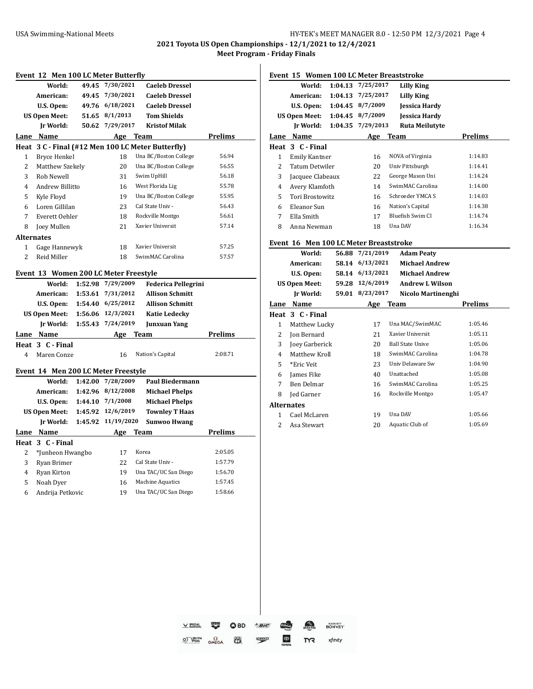**2021 Toyota US Open Championships - 12/1/2021 to 12/4/2021**

|        | World:                                | 49.45   | 7/30/2021            | <b>Caeleb Dressel</b>                             |                    |
|--------|---------------------------------------|---------|----------------------|---------------------------------------------------|--------------------|
|        | American:                             | 49.45   | 7/30/2021            | <b>Caeleb Dressel</b>                             |                    |
|        | U.S. Open:                            |         | 49.76 6/18/2021      | <b>Caeleb Dressel</b>                             |                    |
|        | <b>US Open Meet:</b>                  |         | 51.65 8/1/2013       | <b>Tom Shields</b>                                |                    |
|        | <b>Jr World:</b>                      | 50.62   | 7/29/2017            | <b>Kristof Milak</b>                              |                    |
|        | Lane Name                             |         |                      | Age Team                                          | <b>Prelims</b>     |
|        |                                       |         |                      | Heat 3 C - Final (#12 Men 100 LC Meter Butterfly) |                    |
| 1      | Bryce Henkel                          |         | 18                   | Una BC/Boston College                             | 56.94              |
| 2      | Matthew Szekely                       |         | 20                   | Una BC/Boston College                             | 56.55              |
| 3      | Rob Newell                            |         | 31                   | Swim UpHill                                       | 56.18              |
| 4      | Andrew Billitto                       |         | 16                   | West Florida Lig                                  | 55.78              |
| 5      | Kyle Floyd                            |         | 19                   | Una BC/Boston College                             | 55.95              |
| 6      | Loren Gillilan                        |         | 23                   | Cal State Univ -                                  | 56.43              |
| 7      | Everett Oehler                        |         | 18                   | Rockville Montgo                                  | 56.61              |
| 8      | Joey Mullen                           |         | 21                   | Xavier Universit                                  | 57.14              |
|        | <b>Alternates</b>                     |         |                      |                                                   |                    |
| 1      | Gage Hannewyk                         |         | 18                   | Xavier Universit                                  | 57.25              |
| 2      | Reid Miller                           |         | 18                   | SwimMAC Carolina                                  | 57.57              |
|        | Event 13 Women 200 LC Meter Freestyle |         |                      |                                                   |                    |
|        | World:                                | 1:52.98 | 7/29/2009            | <b>Federica Pellegrini</b>                        |                    |
|        | American:                             |         | 1:53.61 7/31/2012    | <b>Allison Schmitt</b>                            |                    |
|        | U.S. Open:                            |         | 1:54.40 6/25/2012    | <b>Allison Schmitt</b>                            |                    |
|        | <b>US Open Meet:</b>                  |         | 1:56.06 12/3/2021    | <b>Katie Ledecky</b>                              |                    |
|        | Jr World:                             | 1:55.43 | 7/24/2019            | Junxuan Yang                                      |                    |
|        | Lane Name                             |         | Age                  | Team                                              | <b>Prelims</b>     |
|        | Heat 3 C - Final                      |         |                      |                                                   |                    |
| 4      | Maren Conze                           |         | 16                   | Nation's Capital                                  | 2:08.71            |
|        | Event 14 Men 200 LC Meter Freestyle   |         |                      |                                                   |                    |
|        | World:                                | 1:42.00 | 7/28/2009            | <b>Paul Biedermann</b>                            |                    |
|        | American:                             | 1:42.96 | 8/12/2008            | <b>Michael Phelps</b>                             |                    |
|        | U.S. Open:                            |         | $1:44.10$ $7/1/2008$ | <b>Michael Phelps</b>                             |                    |
|        |                                       |         |                      |                                                   |                    |
|        |                                       |         |                      |                                                   |                    |
|        | <b>US Open Meet:</b>                  | 1:45.92 | 12/6/2019            | <b>Townley T Haas</b>                             |                    |
|        | Jr World:                             | 1:45.92 | 11/19/2020           | <b>Sunwoo Hwang</b>                               |                    |
|        | Lane Name                             |         | Age                  | <b>Team</b>                                       | Prelims            |
|        | Heat 3 C - Final                      |         |                      |                                                   |                    |
| 2      | *Junheon Hwangbo                      |         | 17                   | Korea                                             | 2:05.05            |
| 3      | Ryan Brimer                           |         | 22                   | Cal State Univ -                                  | 1:57.79            |
| 4<br>5 | Ryan Kirton<br>Noah Dyer              |         | 19<br>16             | Una TAC/UC San Diego<br>Machine Aquatics          | 1:56.70<br>1:57.45 |

|                   |                                        |         |                 | Event 15 Women 100 LC Meter Breaststroke |                                          |
|-------------------|----------------------------------------|---------|-----------------|------------------------------------------|------------------------------------------|
|                   | World:                                 | 1:04.13 | 7/25/2017       | <b>Lilly King</b>                        |                                          |
|                   | American:                              | 1:04.13 | 7/25/2017       | <b>Lilly King</b>                        |                                          |
|                   | U.S. Open:                             | 1:04.45 | 8/7/2009        | <b>Jessica Hardy</b>                     |                                          |
|                   | <b>US Open Meet:</b>                   | 1:04.45 | 8/7/2009        | <b>Jessica Hardy</b>                     |                                          |
|                   | Ir World:                              | 1:04.35 | 7/29/2013       | <b>Ruta Meilutyte</b>                    |                                          |
|                   | Lane Name                              |         | Age             | <b>Team</b>                              | <b>Prelims</b>                           |
|                   | Heat 3 C - Final                       |         |                 |                                          |                                          |
| $\mathbf{1}$      | <b>Emily Kantner</b>                   |         | 16              | NOVA of Virginia                         | 1:14.83                                  |
| $\overline{2}$    | Tatum Detwiler                         |         | 20              | Univ Pittsburgh                          | 1:14.41                                  |
| 3                 | Jacquee Clabeaux                       |         | 22              | George Mason Uni                         | 1:14.24                                  |
| 4                 | Avery Klamfoth                         |         | 14              | SwimMAC Carolina                         | 1:14.00                                  |
| 5                 | Tori Brostowitz                        |         | 16              | Schroeder YMCA S                         | 1:14.03                                  |
| 6                 | Eleanor Sun                            |         | 16              | Nation's Capital                         | 1:14.38                                  |
| 7                 | Ella Smith                             |         | 17              | Bluefish Swim Cl                         | 1:14.74                                  |
| 8                 | Anna Newman                            |         | 18              | Una DAV                                  | 1:16.34                                  |
|                   | Event 16 Men 100 LC Meter Breaststroke |         |                 |                                          |                                          |
|                   | World:                                 |         | 56.88 7/21/2019 | <b>Adam Peaty</b>                        |                                          |
|                   | American:                              |         | 58.14 6/13/2021 | Michael Andrew                           |                                          |
|                   | U.S. Open:                             |         | 58.14 6/13/2021 | <b>Michael Andrew</b>                    |                                          |
|                   | <b>US Open Meet:</b>                   |         | 59.28 12/6/2019 | <b>Andrew L Wilson</b>                   |                                          |
|                   | Ir World:                              |         | 59.01 8/23/2017 | Nicolo Martinenghi                       |                                          |
|                   | Lane Name                              |         | Age             | Team                                     | <b>Prelims</b>                           |
|                   | Heat 3 C - Final                       |         |                 |                                          |                                          |
| $\mathbf{1}$      | Matthew Lucky                          |         | 17              | Una MAC/SwimMAC                          | 1:05.46                                  |
| 2                 | <b>Jon Bernard</b>                     |         | 21              | Xavier Universit                         | 1:05.11                                  |
|                   |                                        |         |                 |                                          |                                          |
| 3                 | Joey Garberick                         |         | 20              | <b>Ball State Unive</b>                  | 1:05.06                                  |
| $\overline{4}$    | Matthew Kroll                          |         | 18              | SwimMAC Carolina                         |                                          |
| 5                 | *Eric Veit                             |         | 23              | Univ Delaware Sw                         |                                          |
| 6                 | James Fike                             |         | 40              | Unattached                               |                                          |
| 7                 | <b>Ben Delmar</b>                      |         | 16              | SwimMAC Carolina                         | 1:05.25                                  |
| 8                 | Jed Garner                             |         | 16              | Rockville Montgo                         | 1:04.78<br>1:04.90<br>1:05.08<br>1:05.47 |
| <b>Alternates</b> |                                        |         |                 |                                          |                                          |
| 1                 | Cael McLaren                           |         | 19              | Una DAV                                  | 1:05.66                                  |

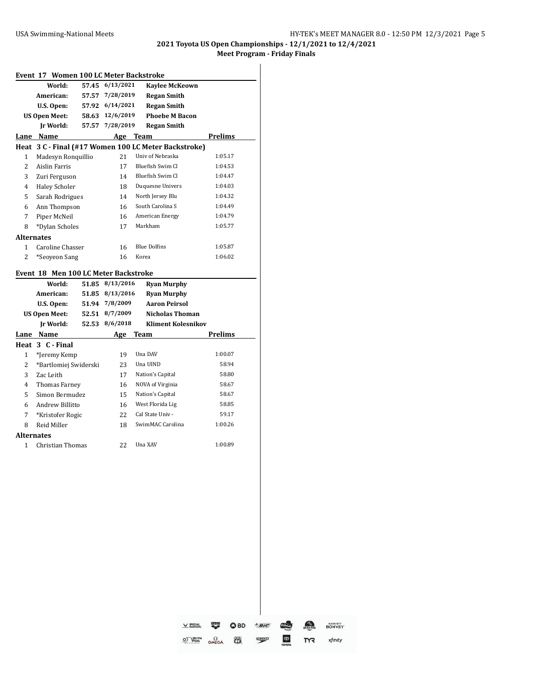# **2021 Toyota US Open Championships - 12/1/2021 to 12/4/2021**

## **Meet Program - Friday Finals**

|                   | Event 17 Women 100 LC Meter Backstroke |       |           |                                                      |                |
|-------------------|----------------------------------------|-------|-----------|------------------------------------------------------|----------------|
|                   | World:                                 | 57.45 | 6/13/2021 | <b>Kaylee McKeown</b>                                |                |
|                   | American:                              | 57.57 | 7/28/2019 | <b>Regan Smith</b>                                   |                |
|                   | U.S. Open:                             | 57.92 | 6/14/2021 | <b>Regan Smith</b>                                   |                |
|                   | <b>US Open Meet:</b>                   | 58.63 | 12/6/2019 | <b>Phoebe M Bacon</b>                                |                |
|                   | Ir World:                              | 57.57 | 7/28/2019 | <b>Regan Smith</b>                                   |                |
|                   | Lane Name                              |       | Age Team  |                                                      | <b>Prelims</b> |
|                   |                                        |       |           | Heat 3 C - Final (#17 Women 100 LC Meter Backstroke) |                |
| 1                 | Madesyn Ronquillio                     |       | 21        | Univ of Nebraska                                     | 1:05.17        |
| 2                 | <b>Aislin Farris</b>                   |       | 17        | Bluefish Swim Cl                                     | 1:04.53        |
| 3                 | Zuri Ferguson                          |       | 14        | Bluefish Swim Cl                                     | 1:04.47        |
| 4                 | <b>Haley Scholer</b>                   |       | 18        | Duquesne Univers                                     | 1:04.03        |
| 5                 | Sarah Rodrigues                        |       | 14        | North Jersey Blu                                     | 1:04.32        |
| 6                 | Ann Thompson                           |       | 16        | South Carolina S                                     | 1:04.49        |
| 7                 | Piper McNeil                           |       | 16        | American Energy                                      | 1:04.79        |
| 8                 | *Dylan Scholes                         |       | 17        | Markham                                              | 1:05.77        |
| <b>Alternates</b> |                                        |       |           |                                                      |                |
| 1                 | Caroline Chasser                       |       | 16        | <b>Blue Dolfins</b>                                  | 1:05.87        |
| $\overline{2}$    | *Seoyeon Sang                          |       | 16        | Korea                                                | 1:06.02        |
|                   | Event 18 Men 100 LC Meter Backstroke   |       |           |                                                      |                |
|                   | World:                                 | 51.85 | 8/13/2016 | <b>Ryan Murphy</b>                                   |                |
|                   | American:                              | 51.85 | 8/13/2016 | <b>Ryan Murphy</b>                                   |                |
|                   | U.S. Open:                             | 51.94 | 7/8/2009  | <b>Aaron Peirsol</b>                                 |                |
|                   | <b>US Open Meet:</b>                   | 52.51 | 8/7/2009  | Nicholas Thoman                                      |                |
|                   | Ir World:                              | 52.53 | 8/6/2018  | <b>Kliment Kolesnikov</b>                            |                |
|                   | Lane Name                              |       | Age       | <b>Team</b>                                          | <b>Prelims</b> |
|                   | Heat 3 C - Final                       |       |           |                                                      |                |
| 1                 | *Jeremy Kemp                           |       | 19        | Una DAV                                              | 1:00.07        |
| $\overline{2}$    | *Bartlomiej Swiderski                  |       | 23        | Una UIND                                             | 58.94          |
| 3                 | Zac Leith                              |       | 17        | Nation's Capital                                     | 58.80          |
| 4                 | <b>Thomas Farney</b>                   |       | 16        | NOVA of Virginia                                     | 58.67          |
| 5                 | Simon Bermudez                         |       | 15        | Nation's Capital                                     | 58.67          |
| 6                 | Andrew Billitto                        |       | 16        | West Florida Lig                                     | 58.85          |
| 7                 | *Kristofer Rogic                       |       | 22        | Cal State Univ -                                     | 59.17          |
| 8                 | Reid Miller                            |       | 18        | SwimMAC Carolina                                     | 1:00.26        |
| <b>Alternates</b> |                                        |       |           |                                                      |                |
| 1                 | Christian Thomas                       |       | 22        | Una XAV                                              | 1:00.89        |
|                   |                                        |       |           |                                                      |                |

 $QBD$ **BONVOY** V SPECIAL  $rac{area}{2}$  $B/C$ **Code**  $\sum_{x \in B}$  $\bigoplus$  $\overbrace{S}$  $\overline{\omega}$ xfinity  $<sub>speed</sub>$ </sub> m